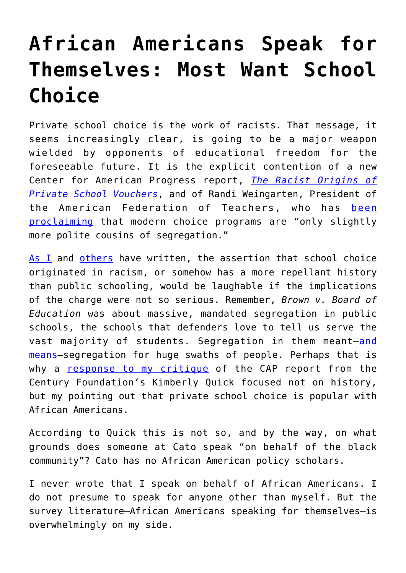## **[African Americans Speak for](https://intellectualtakeout.org/2017/07/african-americans-speak-for-themselves-most-want-school-choice/) [Themselves: Most Want School](https://intellectualtakeout.org/2017/07/african-americans-speak-for-themselves-most-want-school-choice/) [Choice](https://intellectualtakeout.org/2017/07/african-americans-speak-for-themselves-most-want-school-choice/)**

Private school choice is the work of racists. That message, it seems increasingly clear, is going to be a major weapon wielded by opponents of educational freedom for the foreseeable future. It is the explicit contention of a new Center for American Progress report, *[The Racist Origins of](https://cdn.americanprogress.org/content/uploads/2017/07/12184850/VoucherSegregation-brief2.pdf) [Private School Vouchers](https://cdn.americanprogress.org/content/uploads/2017/07/12184850/VoucherSegregation-brief2.pdf)*, and of Randi Weingarten, President of the American Federation of Teachers, who has [been](https://www.usatoday.com/story/news/2017/07/20/union-leader-school-vouchers-polite-cousins-segregation/493617001/) [proclaiming](https://www.usatoday.com/story/news/2017/07/20/union-leader-school-vouchers-polite-cousins-segregation/493617001/) that modern choice programs are "only slightly more polite cousins of segregation."

[As I](https://www.cato.org/blog/its-slingshot-not-nuke-thats-bigger-danger) and [others](http://www.nationalreview.com/article/449559/school-choice-not-racist-history-thomas-paine-john-stuart-mill) have written, the assertion that school choice originated in racism, or somehow has a more repellant history than public schooling, would be laughable if the implications of the charge were not so serious. Remember, *Brown v. Board of Education* was about massive, mandated segregation in public schools, the schools that defenders love to tell us serve the vast majority of students. Segregation in them meant-[and](https://www.civilrightsproject.ucla.edu/research/k-12-education/integration-and-diversity/brown-at-62-school-segregation-by-race-poverty-and-state/Brown-at-62-final-corrected-2.pdf) [means](https://www.civilrightsproject.ucla.edu/research/k-12-education/integration-and-diversity/brown-at-62-school-segregation-by-race-poverty-and-state/Brown-at-62-final-corrected-2.pdf)—segregation for huge swaths of people. Perhaps that is why a [response to my critique](https://tcf.org/content/commentary/school-vouchers-race-complicated/) of the CAP report from the Century Foundation's Kimberly Quick focused not on history, but my pointing out that private school choice is popular with African Americans.

According to Quick this is not so, and by the way, on what grounds does someone at Cato speak "on behalf of the black community"? Cato has no African American policy scholars.

I never wrote that I speak on behalf of African Americans. I do not presume to speak for anyone other than myself. But the survey literature—African Americans speaking for themselves—is overwhelmingly on my side.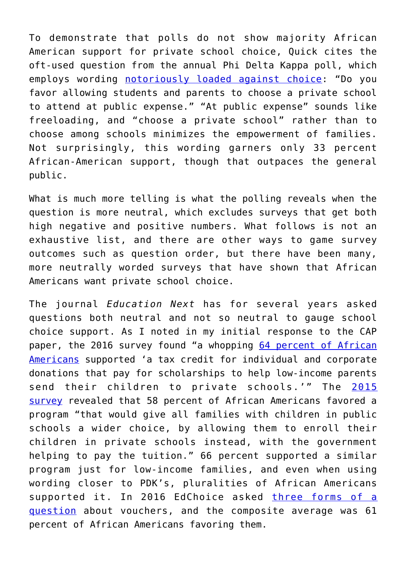To demonstrate that polls do not show majority African American support for private school choice, Quick cites the oft-used question from the annual Phi Delta Kappa poll, which employs wording [notoriously loaded against choice](http://educationnext.org/cooking-the-questions/): "Do you favor allowing students and parents to choose a private school to attend at public expense." "At public expense" sounds like freeloading, and "choose a private school" rather than to choose among schools minimizes the empowerment of families. Not surprisingly, this wording garners only 33 percent African-American support, though that outpaces the general public.

What is much more telling is what the polling reveals when the question is more neutral, which excludes surveys that get both high negative and positive numbers. What follows is not an exhaustive list, and there are other ways to game survey outcomes such as question order, but there have been many, more neutrally worded surveys that have shown that African Americans want private school choice.

The journal *Education Next* has for several years asked questions both neutral and not so neutral to gauge school choice support. As I noted in my initial response to the CAP paper, the 2016 survey found "a whopping [64 percent of African](http://educationnext.org/2016-ednext-poll-interactive/) [Americans](http://educationnext.org/2016-ednext-poll-interactive/) supported 'a tax credit for individual and corporate donations that pay for scholarships to help low-income parents send their children to private schools.'" The [2015](http://educationnext.org/2015-ednext-poll-interactive/) [survey](http://educationnext.org/2015-ednext-poll-interactive/) revealed that 58 percent of African Americans favored a program "that would give all families with children in public schools a wider choice, by allowing them to enroll their children in private schools instead, with the government helping to pay the tuition." 66 percent supported a similar program just for low-income families, and even when using wording closer to PDK's, pluralities of African Americans supported it. In 2016 EdChoice asked [three forms of a](https://www.edchoice.org/wp-content/uploads/2016/11/2016-10_SIA-Poll-Update.pdf#page=40) [question](https://www.edchoice.org/wp-content/uploads/2016/11/2016-10_SIA-Poll-Update.pdf#page=40) about vouchers, and the composite average was 61 percent of African Americans favoring them.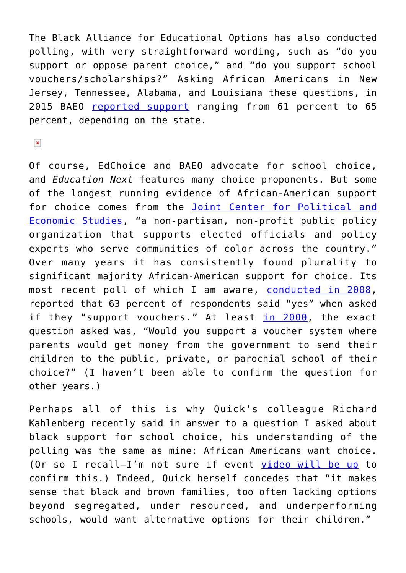The Black Alliance for Educational Options has also conducted polling, with very straightforward wording, such as "do you support or oppose parent choice," and "do you support school vouchers/scholarships?" Asking African Americans in New Jersey, Tennessee, Alabama, and Louisiana these questions, in 2015 BAEO [reported support](http://www.baeo.org/?ns_ref=11&id=7335) ranging from 61 percent to 65 percent, depending on the state.

 $\pmb{\times}$ 

Of course, EdChoice and BAEO advocate for school choice, and *Education Next* features many choice proponents. But some of the longest running evidence of African-American support for choice comes from the [Joint Center for Political and](http://jointcenter.org/about/about) [Economic Studies,](http://jointcenter.org/about/about) "a non-partisan, non-profit public policy organization that supports elected officials and policy experts who serve communities of color across the country." Over many years it has consistently found plurality to significant majority African-American support for choice. Its most recent poll of which I am aware, [conducted in 2008,](http://jointcenter.org/sites/default/files/Education_0.pdf) reported that 63 percent of respondents said "yes" when asked if they "support vouchers." At least [in 2000,](http://www.ifajs.org/record/polls/Joint_Center_2000_National_Opinion_Poll.pdf) the exact question asked was, "Would you support a voucher system where parents would get money from the government to send their children to the public, private, or parochial school of their choice?" (I haven't been able to confirm the question for other years.)

Perhaps all of this is why Quick's colleague Richard Kahlenberg recently said in answer to a question I asked about black support for school choice, his understanding of the polling was the same as mine: African Americans want choice. (Or so I recall—I'm not sure if event [video will be up](https://www.americanprogressaction.org/events/2017/07/07/167980/school-vouchers-segregation/) to confirm this.) Indeed, Quick herself concedes that "it makes sense that black and brown families, too often lacking options beyond segregated, under resourced, and underperforming schools, would want alternative options for their children."